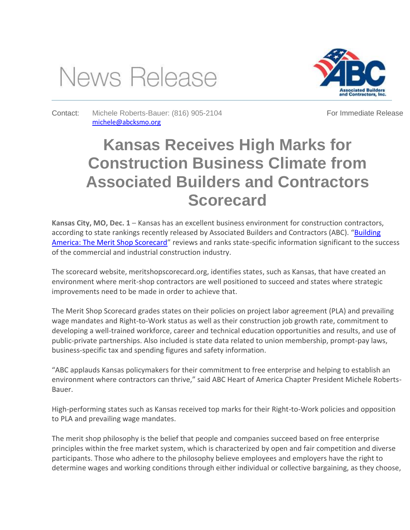## News Release



Contact: Michele Roberts-Bauer: (816) 905-2104 [michele@abcksmo.org](mailto:michele@abcksmo.org)

For Immediate Release

## **Kansas Receives High Marks for Construction Business Climate from Associated Builders and Contractors Scorecard**

**Kansas City, MO, Dec. 1** – Kansas has an excellent business environment for construction contractors, according to state rankings recently released by Associated Builders and Contractors (ABC). "[Building](http://meritshopscorecard.org/) [America: The Merit Shop Scorecard](http://meritshopscorecard.org/)" reviews and ranks state-specific information significant to the success of the commercial and industrial construction industry.

The scorecard website, meritshopscorecard.org, identifies states, such as Kansas, that have created an environment where merit-shop contractors are well positioned to succeed and states where strategic improvements need to be made in order to achieve that.

The Merit Shop Scorecard grades states on their policies on project labor agreement (PLA) and prevailing wage mandates and Right-to-Work status as well as their construction job growth rate, commitment to developing a well-trained workforce, career and technical education opportunities and results, and use of public-private partnerships. Also included is state data related to union membership, prompt-pay laws, business-specific tax and spending figures and safety information.

"ABC applauds Kansas policymakers for their commitment to free enterprise and helping to establish an environment where contractors can thrive," said ABC Heart of America Chapter President Michele Roberts-Bauer.

High-performing states such as Kansas received top marks for their Right-to-Work policies and opposition to PLA and prevailing wage mandates.

The merit shop philosophy is the belief that people and companies succeed based on free enterprise principles within the free market system, which is characterized by open and fair competition and diverse participants. Those who adhere to the philosophy believe employees and employers have the right to determine wages and working conditions through either individual or collective bargaining, as they choose,